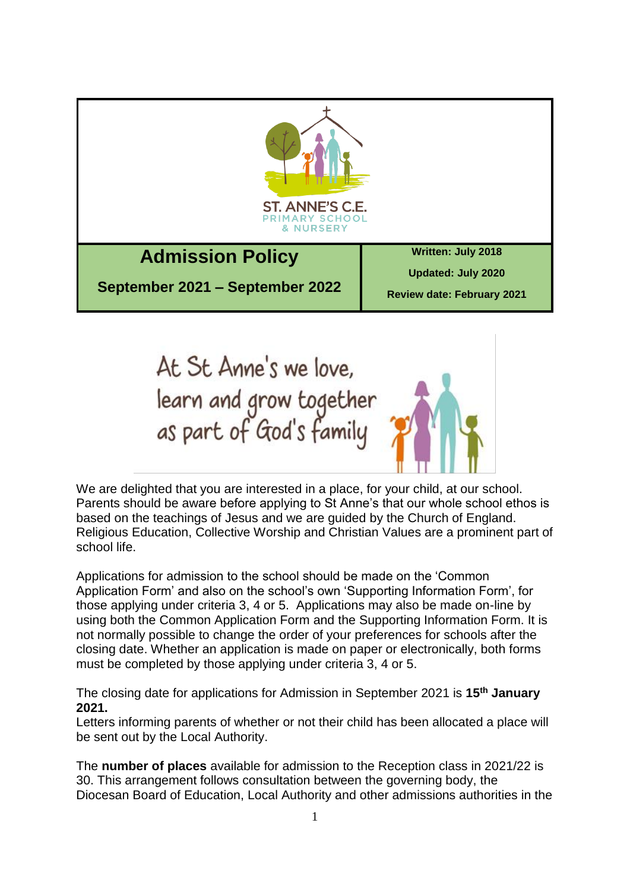



We are delighted that you are interested in a place, for your child, at our school. Parents should be aware before applying to St Anne's that our whole school ethos is based on the teachings of Jesus and we are guided by the Church of England. Religious Education, Collective Worship and Christian Values are a prominent part of school life.

Applications for admission to the school should be made on the 'Common Application Form' and also on the school's own 'Supporting Information Form', for those applying under criteria 3, 4 or 5. Applications may also be made on-line by using both the Common Application Form and the Supporting Information Form. It is not normally possible to change the order of your preferences for schools after the closing date. Whether an application is made on paper or electronically, both forms must be completed by those applying under criteria 3, 4 or 5.

The closing date for applications for Admission in September 2021 is **15th January 2021.**

Letters informing parents of whether or not their child has been allocated a place will be sent out by the Local Authority.

The **number of places** available for admission to the Reception class in 2021/22 is 30. This arrangement follows consultation between the governing body, the Diocesan Board of Education, Local Authority and other admissions authorities in the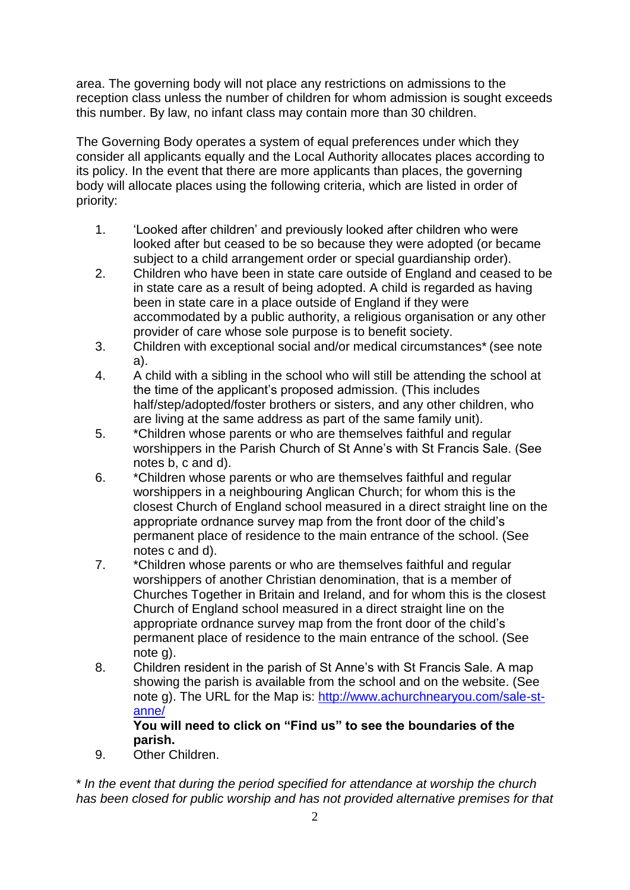area. The governing body will not place any restrictions on admissions to the reception class unless the number of children for whom admission is sought exceeds this number. By law, no infant class may contain more than 30 children.

The Governing Body operates a system of equal preferences under which they consider all applicants equally and the Local Authority allocates places according to its policy. In the event that there are more applicants than places, the governing body will allocate places using the following criteria, which are listed in order of priority:

- 1. 'Looked after children' and previously looked after children who were looked after but ceased to be so because they were adopted (or became subject to a child arrangement order or special guardianship order).
- 2. Children who have been in state care outside of England and ceased to be in state care as a result of being adopted. A child is regarded as having been in state care in a place outside of England if they were accommodated by a public authority, a religious organisation or any other provider of care whose sole purpose is to benefit society.
- 3. Children with exceptional social and/or medical circumstances\* (see note a).
- 4. A child with a sibling in the school who will still be attending the school at the time of the applicant's proposed admission. (This includes half/step/adopted/foster brothers or sisters, and any other children, who are living at the same address as part of the same family unit).
- 5. \*Children whose parents or who are themselves faithful and regular worshippers in the Parish Church of St Anne's with St Francis Sale. (See notes b, c and d).
- 6. \*Children whose parents or who are themselves faithful and regular worshippers in a neighbouring Anglican Church; for whom this is the closest Church of England school measured in a direct straight line on the appropriate ordnance survey map from the front door of the child's permanent place of residence to the main entrance of the school. (See notes c and d).
- 7. \*Children whose parents or who are themselves faithful and regular worshippers of another Christian denomination, that is a member of Churches Together in Britain and Ireland, and for whom this is the closest Church of England school measured in a direct straight line on the appropriate ordnance survey map from the front door of the child's permanent place of residence to the main entrance of the school. (See note g).
- 8. Children resident in the parish of St Anne's with St Francis Sale. A map showing the parish is available from the school and on the website. (See note g). The URL for the Map is: [http://www.achurchnearyou.com/sale-st](http://www.achurchnearyou.com/sale-st-anne/)[anne/](http://www.achurchnearyou.com/sale-st-anne/)

## **You will need to click on "Find us" to see the boundaries of the parish.**

9. Other Children.

\* *In the event that during the period specified for attendance at worship the church has been closed for public worship and has not provided alternative premises for that*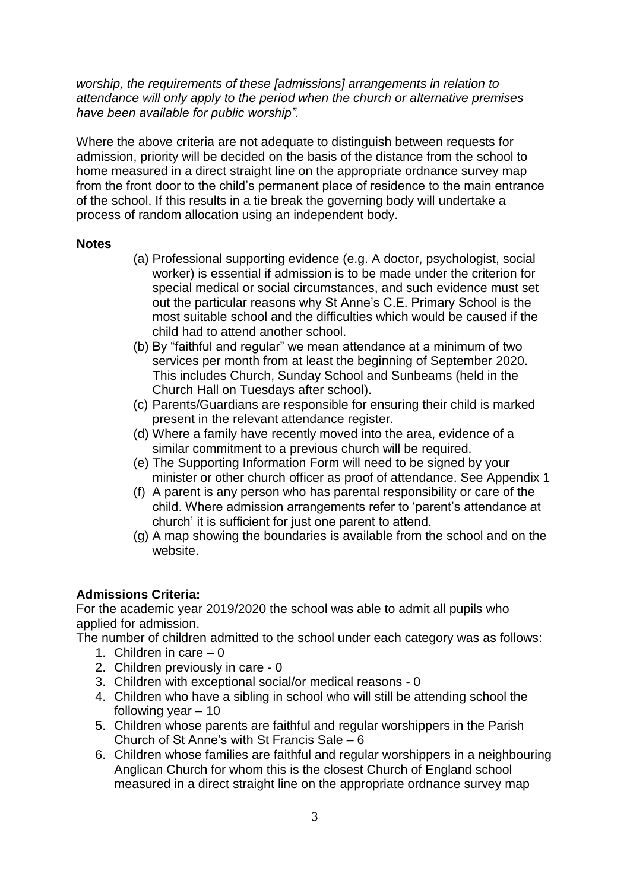*worship, the requirements of these [admissions] arrangements in relation to attendance will only apply to the period when the church or alternative premises have been available for public worship".*

Where the above criteria are not adequate to distinguish between requests for admission, priority will be decided on the basis of the distance from the school to home measured in a direct straight line on the appropriate ordnance survey map from the front door to the child's permanent place of residence to the main entrance of the school. If this results in a tie break the governing body will undertake a process of random allocation using an independent body.

## **Notes**

- (a) Professional supporting evidence (e.g. A doctor, psychologist, social worker) is essential if admission is to be made under the criterion for special medical or social circumstances, and such evidence must set out the particular reasons why St Anne's C.E. Primary School is the most suitable school and the difficulties which would be caused if the child had to attend another school.
- (b) By "faithful and regular" we mean attendance at a minimum of two services per month from at least the beginning of September 2020. This includes Church, Sunday School and Sunbeams (held in the Church Hall on Tuesdays after school).
- (c) Parents/Guardians are responsible for ensuring their child is marked present in the relevant attendance register.
- (d) Where a family have recently moved into the area, evidence of a similar commitment to a previous church will be required.
- (e) The Supporting Information Form will need to be signed by your minister or other church officer as proof of attendance. See Appendix 1
- (f) A parent is any person who has parental responsibility or care of the child. Where admission arrangements refer to 'parent's attendance at church' it is sufficient for just one parent to attend.
- (g) A map showing the boundaries is available from the school and on the website.

## **Admissions Criteria:**

For the academic year 2019/2020 the school was able to admit all pupils who applied for admission.

The number of children admitted to the school under each category was as follows:

- 1. Children in care  $-0$
- 2. Children previously in care 0
- 3. Children with exceptional social/or medical reasons 0
- 4. Children who have a sibling in school who will still be attending school the following year  $-10$
- 5. Children whose parents are faithful and regular worshippers in the Parish Church of St Anne's with St Francis Sale – 6
- 6. Children whose families are faithful and regular worshippers in a neighbouring Anglican Church for whom this is the closest Church of England school measured in a direct straight line on the appropriate ordnance survey map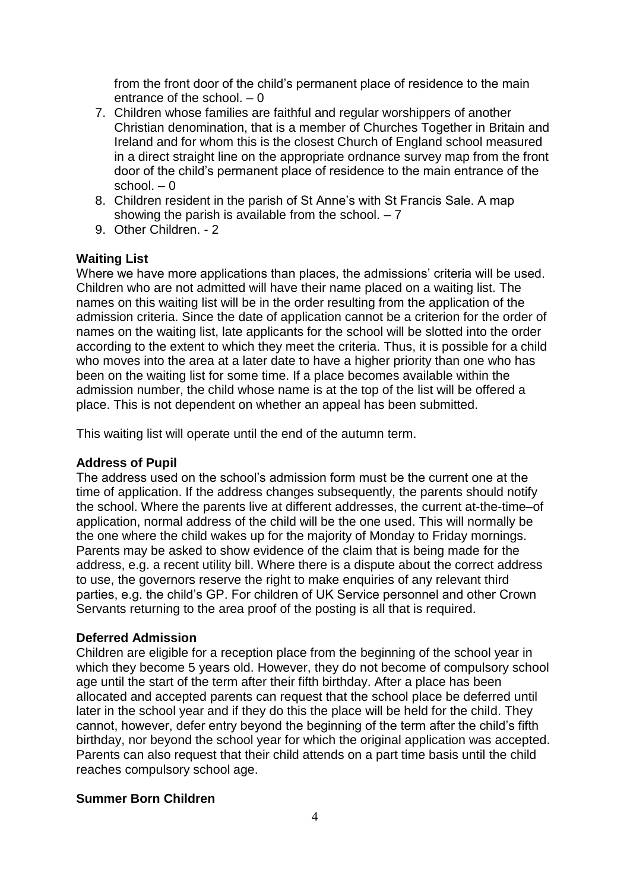from the front door of the child's permanent place of residence to the main entrance of the school. – 0

- 7. Children whose families are faithful and regular worshippers of another Christian denomination, that is a member of Churches Together in Britain and Ireland and for whom this is the closest Church of England school measured in a direct straight line on the appropriate ordnance survey map from the front door of the child's permanent place of residence to the main entrance of the school.  $-0$
- 8. Children resident in the parish of St Anne's with St Francis Sale. A map showing the parish is available from the school.  $-7$
- 9. Other Children. 2

### **Waiting List**

Where we have more applications than places, the admissions' criteria will be used. Children who are not admitted will have their name placed on a waiting list. The names on this waiting list will be in the order resulting from the application of the admission criteria. Since the date of application cannot be a criterion for the order of names on the waiting list, late applicants for the school will be slotted into the order according to the extent to which they meet the criteria. Thus, it is possible for a child who moves into the area at a later date to have a higher priority than one who has been on the waiting list for some time. If a place becomes available within the admission number, the child whose name is at the top of the list will be offered a place. This is not dependent on whether an appeal has been submitted.

This waiting list will operate until the end of the autumn term.

### **Address of Pupil**

The address used on the school's admission form must be the current one at the time of application. If the address changes subsequently, the parents should notify the school. Where the parents live at different addresses, the current at-the-time–of application, normal address of the child will be the one used. This will normally be the one where the child wakes up for the majority of Monday to Friday mornings. Parents may be asked to show evidence of the claim that is being made for the address, e.g. a recent utility bill. Where there is a dispute about the correct address to use, the governors reserve the right to make enquiries of any relevant third parties, e.g. the child's GP. For children of UK Service personnel and other Crown Servants returning to the area proof of the posting is all that is required.

#### **Deferred Admission**

Children are eligible for a reception place from the beginning of the school year in which they become 5 years old. However, they do not become of compulsory school age until the start of the term after their fifth birthday. After a place has been allocated and accepted parents can request that the school place be deferred until later in the school year and if they do this the place will be held for the child. They cannot, however, defer entry beyond the beginning of the term after the child's fifth birthday, nor beyond the school year for which the original application was accepted. Parents can also request that their child attends on a part time basis until the child reaches compulsory school age.

#### **Summer Born Children**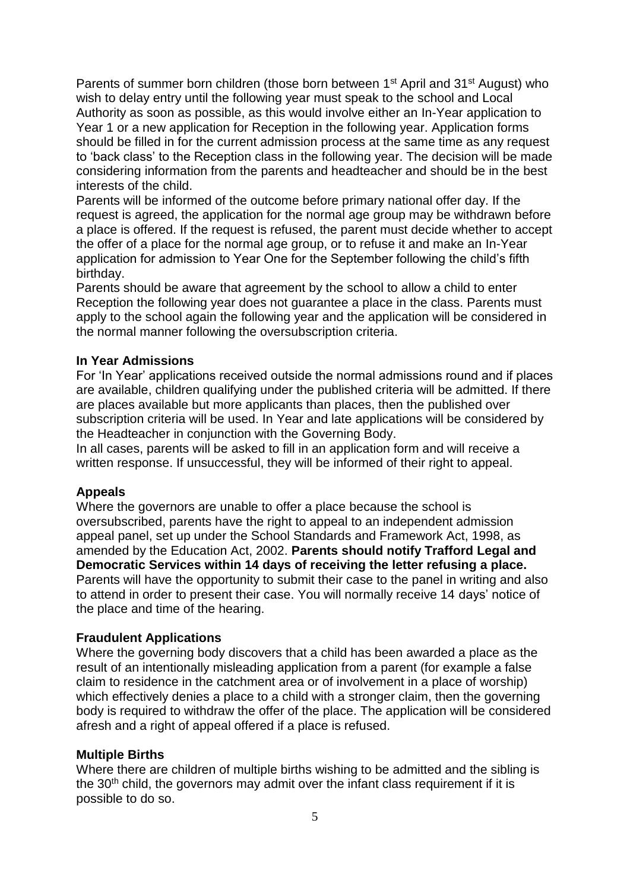Parents of summer born children (those born between 1<sup>st</sup> April and 31<sup>st</sup> August) who wish to delay entry until the following year must speak to the school and Local Authority as soon as possible, as this would involve either an In-Year application to Year 1 or a new application for Reception in the following year. Application forms should be filled in for the current admission process at the same time as any request to 'back class' to the Reception class in the following year. The decision will be made considering information from the parents and headteacher and should be in the best interests of the child.

Parents will be informed of the outcome before primary national offer day. If the request is agreed, the application for the normal age group may be withdrawn before a place is offered. If the request is refused, the parent must decide whether to accept the offer of a place for the normal age group, or to refuse it and make an In-Year application for admission to Year One for the September following the child's fifth birthday.

Parents should be aware that agreement by the school to allow a child to enter Reception the following year does not guarantee a place in the class. Parents must apply to the school again the following year and the application will be considered in the normal manner following the oversubscription criteria.

#### **In Year Admissions**

For 'In Year' applications received outside the normal admissions round and if places are available, children qualifying under the published criteria will be admitted. If there are places available but more applicants than places, then the published over subscription criteria will be used. In Year and late applications will be considered by the Headteacher in conjunction with the Governing Body.

In all cases, parents will be asked to fill in an application form and will receive a written response. If unsuccessful, they will be informed of their right to appeal.

## **Appeals**

Where the governors are unable to offer a place because the school is oversubscribed, parents have the right to appeal to an independent admission appeal panel, set up under the School Standards and Framework Act, 1998, as amended by the Education Act, 2002. **Parents should notify Trafford Legal and Democratic Services within 14 days of receiving the letter refusing a place.**  Parents will have the opportunity to submit their case to the panel in writing and also to attend in order to present their case. You will normally receive 14 days' notice of the place and time of the hearing.

#### **Fraudulent Applications**

Where the governing body discovers that a child has been awarded a place as the result of an intentionally misleading application from a parent (for example a false claim to residence in the catchment area or of involvement in a place of worship) which effectively denies a place to a child with a stronger claim, then the governing body is required to withdraw the offer of the place. The application will be considered afresh and a right of appeal offered if a place is refused.

#### **Multiple Births**

Where there are children of multiple births wishing to be admitted and the sibling is the  $30<sup>th</sup>$  child, the governors may admit over the infant class requirement if it is possible to do so.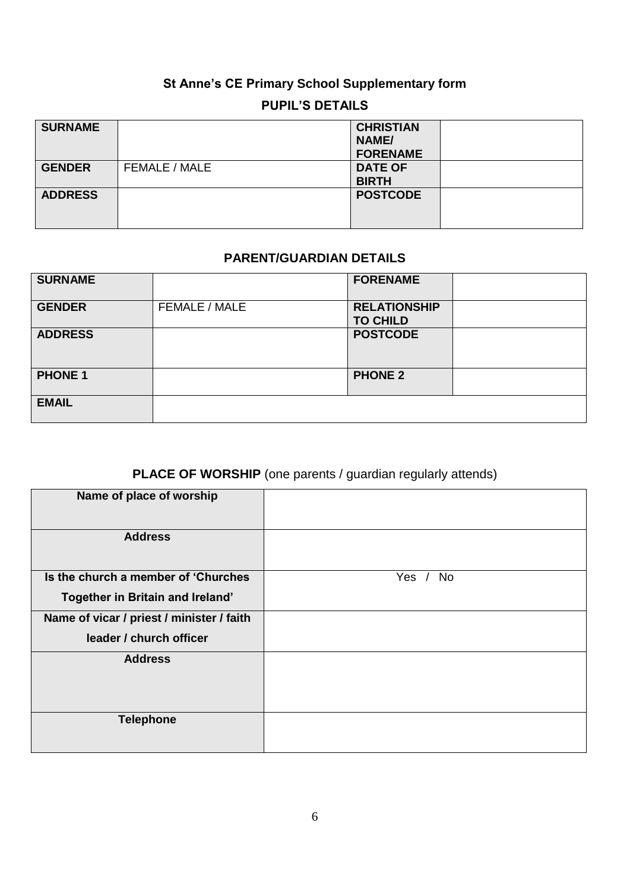# **St Anne's CE Primary School Supplementary form**

## **PUPIL'S DETAILS**

| <b>SURNAME</b> |               | <b>CHRISTIAN</b><br>NAME/<br><b>FORENAME</b> |  |
|----------------|---------------|----------------------------------------------|--|
| <b>GENDER</b>  | FEMALE / MALE | <b>DATE OF</b><br><b>BIRTH</b>               |  |
| <b>ADDRESS</b> |               | <b>POSTCODE</b>                              |  |

## **PARENT/GUARDIAN DETAILS**

| <b>SURNAME</b> |               | <b>FORENAME</b>                        |  |
|----------------|---------------|----------------------------------------|--|
| <b>GENDER</b>  | FEMALE / MALE | <b>RELATIONSHIP</b><br><b>TO CHILD</b> |  |
| <b>ADDRESS</b> |               | <b>POSTCODE</b>                        |  |
| <b>PHONE 1</b> |               | <b>PHONE 2</b>                         |  |
| <b>EMAIL</b>   |               |                                        |  |

# **PLACE OF WORSHIP** (one parents / guardian regularly attends)

| Name of place of worship                  |                      |
|-------------------------------------------|----------------------|
| <b>Address</b>                            |                      |
| Is the church a member of 'Churches       | Yes $/$<br><b>No</b> |
| Together in Britain and Ireland'          |                      |
| Name of vicar / priest / minister / faith |                      |
| leader / church officer                   |                      |
| <b>Address</b>                            |                      |
|                                           |                      |
| <b>Telephone</b>                          |                      |